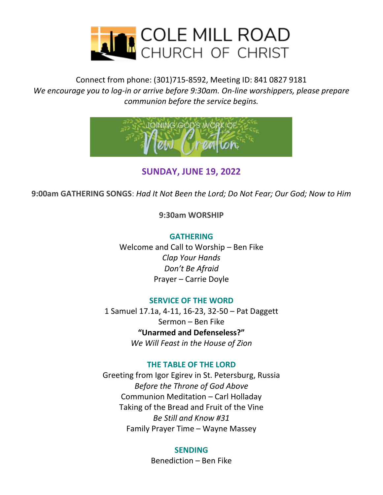

Connect from phone: (301)715-8592, Meeting ID: 841 0827 9181 *We encourage you to log-in or arrive before 9:30am. On-line worshippers, please prepare communion before the service begins.*



### **SUNDAY, JUNE 19, 2022**

**9:00am GATHERING SONGS**: *Had It Not Been the Lord; Do Not Fear; Our God; Now to Him*

**9:30am WORSHIP**

**GATHERING**

Welcome and Call to Worship – Ben Fike *Clap Your Hands Don't Be Afraid* Prayer – Carrie Doyle

#### **SERVICE OF THE WORD**

1 Samuel 17.1a, 4-11, 16-23, 32-50 – Pat Daggett Sermon – Ben Fike **"Unarmed and Defenseless?"** *We Will Feast in the House of Zion*

### **THE TABLE OF THE LORD**

Greeting from Igor Egirev in St. Petersburg, Russia *Before the Throne of God Above* Communion Meditation – Carl Holladay Taking of the Bread and Fruit of the Vine *Be Still and Know #31* Family Prayer Time – Wayne Massey

#### **SENDING**

Benediction – Ben Fike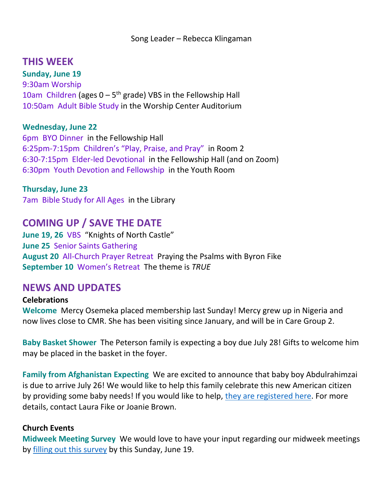## **THIS WEEK**

**Sunday, June 19** 9:30am Worship 10am Children (ages  $0 - 5$ <sup>th</sup> grade) VBS in the Fellowship Hall 10:50am Adult Bible Study in the Worship Center Auditorium

### **Wednesday, June 22**

6pm BYO Dinner in the Fellowship Hall 6:25pm-7:15pm Children's "Play, Praise, and Pray" in Room 2 6:30-7:15pm Elder-led Devotional in the Fellowship Hall (and on Zoom) 6:30pm Youth Devotion and Fellowship in the Youth Room

**Thursday, June 23** 7am Bible Study for All Ages in the Library

# **COMING UP / SAVE THE DATE**

**June 19, 26** VBS "Knights of North Castle" **June 25** Senior Saints Gathering **August 20** All-Church Prayer Retreat Praying the Psalms with Byron Fike **September 10** Women's Retreat The theme is *TRUE*

## **NEWS AND UPDATES**

### **Celebrations**

**Welcome** Mercy Osemeka placed membership last Sunday! Mercy grew up in Nigeria and now lives close to CMR. She has been visiting since January, and will be in Care Group 2.

**Baby Basket Shower** The Peterson family is expecting a boy due July 28! Gifts to welcome him may be placed in the basket in the foyer.

**Family from Afghanistan Expecting** We are excited to announce that baby boy Abdulrahimzai is due to arrive July 26! We would like to help this family celebrate this new American citizen by providing some baby needs! If you would like to help, [they are registered here.](https://www.target.com/gift-registry/gift-giver?registryId=500df050-c0e4-11ec-a5a5-e1ea892549a6&type=BABY) For more details, contact Laura Fike or Joanie Brown.

### **Church Events**

**Midweek Meeting Survey** We would love to have your input regarding our midweek meetings by [filling out this survey](https://docs.google.com/forms/d/e/1FAIpQLScGmmRlyrVTwwB2lLjJWbe-5MFjhhJ45PiMQAN_apaElqbN0Q/viewform) by this Sunday, June 19.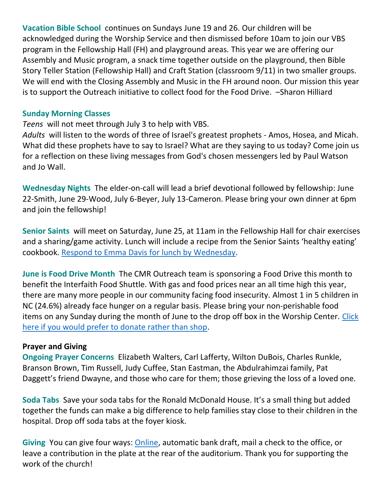**Vacation Bible School** continues on Sundays June 19 and 26. Our children will be acknowledged during the Worship Service and then dismissed before 10am to join our VBS program in the Fellowship Hall (FH) and playground areas. This year we are offering our Assembly and Music program, a snack time together outside on the playground, then Bible Story Teller Station (Fellowship Hall) and Craft Station (classroom 9/11) in two smaller groups. We will end with the Closing Assembly and Music in the FH around noon. Our mission this year is to support the Outreach initiative to collect food for the Food Drive. –Sharon Hilliard

#### **Sunday Morning Classes**

*Teens* will not meet through July 3 to help with VBS.

*Adults* will listen to the words of three of Israel's greatest prophets - Amos, Hosea, and Micah. What did these prophets have to say to Israel? What are they saying to us today? Come join us for a reflection on these living messages from God's chosen messengers led by Paul Watson and Jo Wall.

**Wednesday Nights** The elder-on-call will lead a brief devotional followed by fellowship: June 22-Smith, June 29-Wood, July 6-Beyer, July 13-Cameron. Please bring your own dinner at 6pm and join the fellowship!

**Senior Saints** will meet on Saturday, June 25, at 11am in the Fellowship Hall for chair exercises and a sharing/game activity. Lunch will include a recipe from the Senior Saints 'healthy eating' cookbook. [Respond to Emma Davis for lunch by Wednesday.](mailto:ebdavis1911@yahoo.com?subject=SS)

**June is Food Drive Month** The CMR Outreach team is sponsoring a Food Drive this month to benefit the Interfaith Food Shuttle. With gas and food prices near an all time high this year, there are many more people in our community facing food insecurity. Almost 1 in 5 children in NC (24.6%) already face hunger on a regular basis. Please bring your non-perishable food items on any Sunday during the month of June to the drop off box in the Worship Center. [Click](https://4agc.com/fundraiser_pages/6a2f5a60-85a4-4866-af8a-e8e8ee851412#.YpiooajMKUl)  [here if you would prefer to donate rather than shop.](https://4agc.com/fundraiser_pages/6a2f5a60-85a4-4866-af8a-e8e8ee851412#.YpiooajMKUl)

### **Prayer and Giving**

**Ongoing Prayer Concerns** Elizabeth Walters, Carl Lafferty, Wilton DuBois, Charles Runkle, Branson Brown, Tim Russell, Judy Cuffee, Stan Eastman, the Abdulrahimzai family, Pat Daggett's friend Dwayne, and those who care for them; those grieving the loss of a loved one.

**Soda Tabs** Save your soda tabs for the Ronald McDonald House. It's a small thing but added together the funds can make a big difference to help families stay close to their children in the hospital. Drop off soda tabs at the foyer kiosk.

**Giving** You can give four ways: [Online,](https://www.paypal.com/donate/?hosted_button_id=FLNLFZCNSFEME) automatic bank draft, mail a check to the office, or leave a contribution in the plate at the rear of the auditorium. Thank you for supporting the work of the church!